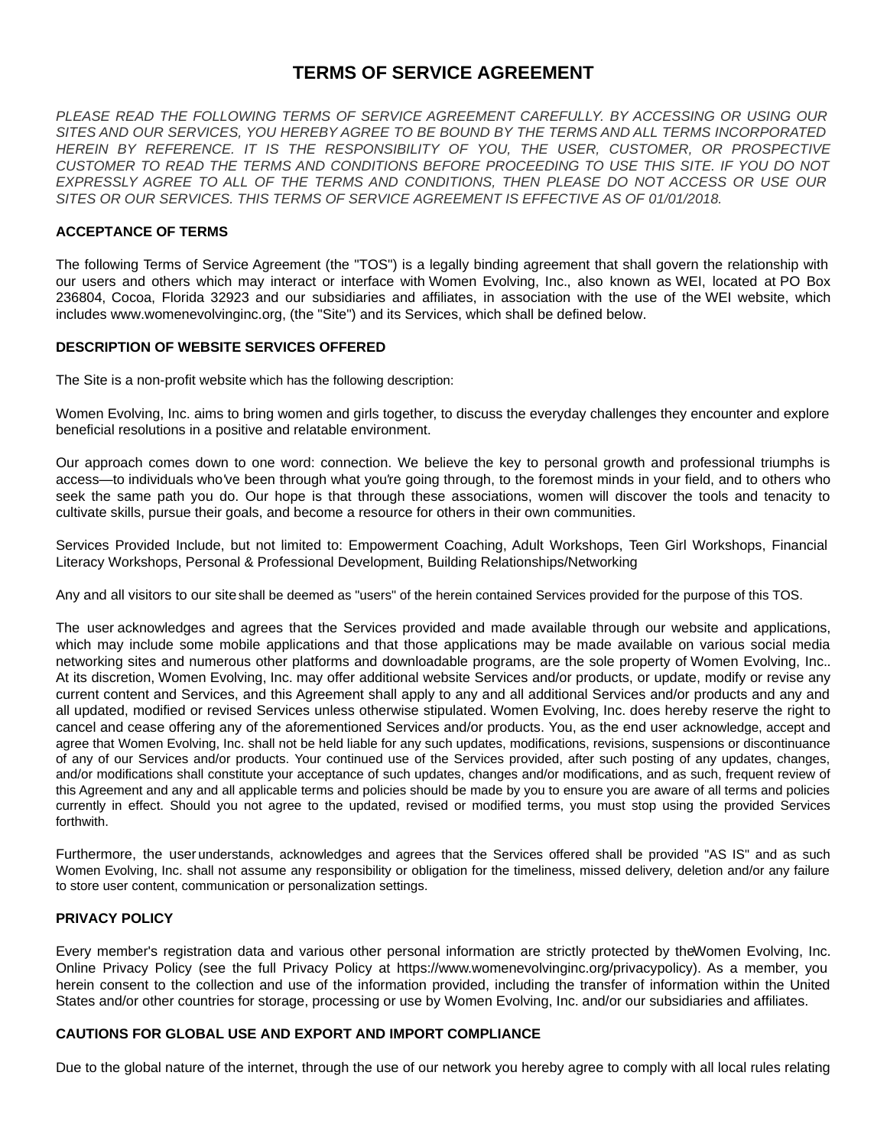# **TERMS OF SERVICE AGREEMENT**

*PLEASE READ THE FOLLOWING TERMS OF SERVICE AGREEMENT CAREFULLY. BY ACCESSING OR USING OUR SITES AND OUR SERVICES, YOU HEREBY AGREE TO BE BOUND BY THE TERMS AND ALL TERMS INCORPORATED HEREIN BY REFERENCE. IT IS THE RESPONSIBILITY OF YOU, THE USER, CUSTOMER, OR PROSPECTIVE CUSTOMER TO READ THE TERMS AND CONDITIONS BEFORE PROCEEDING TO USE THIS SITE. IF YOU DO NOT EXPRESSLY AGREE TO ALL OF THE TERMS AND CONDITIONS, THEN PLEASE DO NOT ACCESS OR USE OUR SITES OR OUR SERVICES. THIS TERMS OF SERVICE AGREEMENT IS EFFECTIVE AS OF 01/01/2018.*

# **ACCEPTANCE OF TERMS**

The following Terms of Service Agreement (the "TOS") is a legally binding agreement that shall govern the relationship with our users and others which may interact or interface with Women Evolving, Inc., also known as WEI, located at PO Box 236804, Cocoa, Florida 32923 and our subsidiaries and affiliates, in association with the use of the WEI website, which includes www.womenevolvinginc.org, (the "Site") and its Services, which shall be defined below.

## **DESCRIPTION OF WEBSITE SERVICES OFFERED**

The Site is a non-profit website which has the following description:

Women Evolving, Inc. aims to bring women and girls together, to discuss the everyday challenges they encounter and explore beneficial resolutions in a positive and relatable environment.

Our approach comes down to one word: connection. We believe the key to personal growth and professional triumphs is access—to individuals who*'*ve been through what you*'*re going through, to the foremost minds in your field, and to others who seek the same path you do. Our hope is that through these associations, women will discover the tools and tenacity to cultivate skills, pursue their goals, and become a resource for others in their own communities.

Services Provided Include, but not limited to: Empowerment Coaching, Adult Workshops, Teen Girl Workshops, Financial Literacy Workshops, Personal & Professional Development, Building Relationships/Networking

Any and all visitors to our site shall be deemed as "users" of the herein contained Services provided for the purpose of this TOS.

The user acknowledges and agrees that the Services provided and made available through our website and applications, which may include some mobile applications and that those applications may be made available on various social media networking sites and numerous other platforms and downloadable programs, are the sole property of Women Evolving, Inc.. At its discretion, Women Evolving, Inc. may offer additional website Services and/or products, or update, modify or revise any current content and Services, and this Agreement shall apply to any and all additional Services and/or products and any and all updated, modified or revised Services unless otherwise stipulated. Women Evolving, Inc. does hereby reserve the right to cancel and cease offering any of the aforementioned Services and/or products. You, as the end user acknowledge, accept and agree that Women Evolving, Inc. shall not be held liable for any such updates, modifications, revisions, suspensions or discontinuance of any of our Services and/or products. Your continued use of the Services provided, after such posting of any updates, changes, and/or modifications shall constitute your acceptance of such updates, changes and/or modifications, and as such, frequent review of this Agreement and any and all applicable terms and policies should be made by you to ensure you are aware of all terms and policies currently in effect. Should you not agree to the updated, revised or modified terms, you must stop using the provided Services forthwith.

Furthermore, the user understands, acknowledges and agrees that the Services offered shall be provided "AS IS" and as such Women Evolving, Inc. shall not assume any responsibility or obligation for the timeliness, missed delivery, deletion and/or any failure to store user content, communication or personalization settings.

#### **PRIVACY POLICY**

Every member's registration data and various other personal information are strictly protected by theWomen Evolving, Inc. Online Privacy Policy (see the full Privacy Policy at https://www.womenevolvinginc.org/privacypolicy). As a member, you herein consent to the collection and use of the information provided, including the transfer of information within the United States and/or other countries for storage, processing or use by Women Evolving, Inc. and/or our subsidiaries and affiliates.

#### **CAUTIONS FOR GLOBAL USE AND EXPORT AND IMPORT COMPLIANCE**

Due to the global nature of the internet, through the use of our network you hereby agree to comply with all local rules relating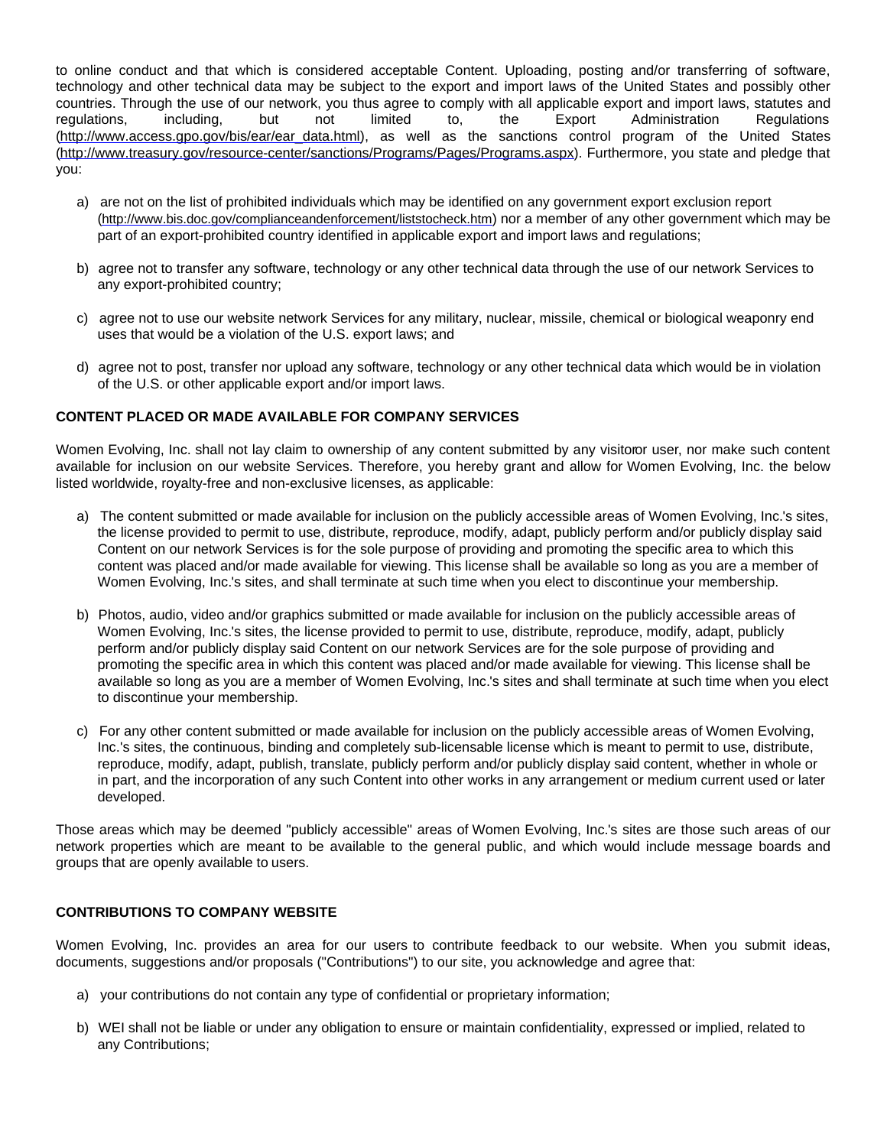to online conduct and that which is considered acceptable Content. Uploading, posting and/or transferring of software, technology and other technical data may be subject to the export and import laws of the United States and possibly other countries. Through the use of our network, you thus agree to comply with all applicable export and import laws, statutes and regulations, including, but not limited to, the Export Administration Regulations [\(http://www.access.gpo.gov/bis/ear/ear\\_data.html](http://www.access.gpo.gov/bis/ear/ear_data.html)), as well as the sanctions control program of the United States [\(http://www.treasury.gov/resource-center/sanctions/Programs/Pages/Programs.aspx](http://www.treasury.gov/resource-center/sanctions/Programs/Pages/Programs.aspx)). Furthermore, you state and pledge that you:

- a) are not on the list of prohibited individuals which may be identified on any government export exclusion report (<http://www.bis.doc.gov/complianceandenforcement/liststocheck.htm>) nor a member of any other government which may be part of an export-prohibited country identified in applicable export and import laws and regulations;
- b) agree not to transfer any software, technology or any other technical data through the use of our network Services to any export-prohibited country;
- c) agree not to use our website network Services for any military, nuclear, missile, chemical or biological weaponry end uses that would be a violation of the U.S. export laws; and
- d) agree not to post, transfer nor upload any software, technology or any other technical data which would be in violation of the U.S. or other applicable export and/or import laws.

## **CONTENT PLACED OR MADE AVAILABLE FOR COMPANY SERVICES**

Women Evolving, Inc. shall not lay claim to ownership of any content submitted by any visitoror user, nor make such content available for inclusion on our website Services. Therefore, you hereby grant and allow for Women Evolving, Inc. the below listed worldwide, royalty-free and non-exclusive licenses, as applicable:

- a) The content submitted or made available for inclusion on the publicly accessible areas of Women Evolving, Inc.'s sites, the license provided to permit to use, distribute, reproduce, modify, adapt, publicly perform and/or publicly display said Content on our network Services is for the sole purpose of providing and promoting the specific area to which this content was placed and/or made available for viewing. This license shall be available so long as you are a member of Women Evolving, Inc.'s sites, and shall terminate at such time when you elect to discontinue your membership.
- b) Photos, audio, video and/or graphics submitted or made available for inclusion on the publicly accessible areas of Women Evolving, Inc.'s sites, the license provided to permit to use, distribute, reproduce, modify, adapt, publicly perform and/or publicly display said Content on our network Services are for the sole purpose of providing and promoting the specific area in which this content was placed and/or made available for viewing. This license shall be available so long as you are a member of Women Evolving, Inc.'s sites and shall terminate at such time when you elect to discontinue your membership.
- c) For any other content submitted or made available for inclusion on the publicly accessible areas of Women Evolving, Inc.'s sites, the continuous, binding and completely sub-licensable license which is meant to permit to use, distribute, reproduce, modify, adapt, publish, translate, publicly perform and/or publicly display said content, whether in whole or in part, and the incorporation of any such Content into other works in any arrangement or medium current used or later developed.

Those areas which may be deemed "publicly accessible" areas of Women Evolving, Inc.'s sites are those such areas of our network properties which are meant to be available to the general public, and which would include message boards and groups that are openly available to users.

#### **CONTRIBUTIONS TO COMPANY WEBSITE**

Women Evolving, Inc. provides an area for our users to contribute feedback to our website. When you submit ideas, documents, suggestions and/or proposals ("Contributions") to our site, you acknowledge and agree that:

- a) your contributions do not contain any type of confidential or proprietary information;
- b) WEI shall not be liable or under any obligation to ensure or maintain confidentiality, expressed or implied, related to any Contributions;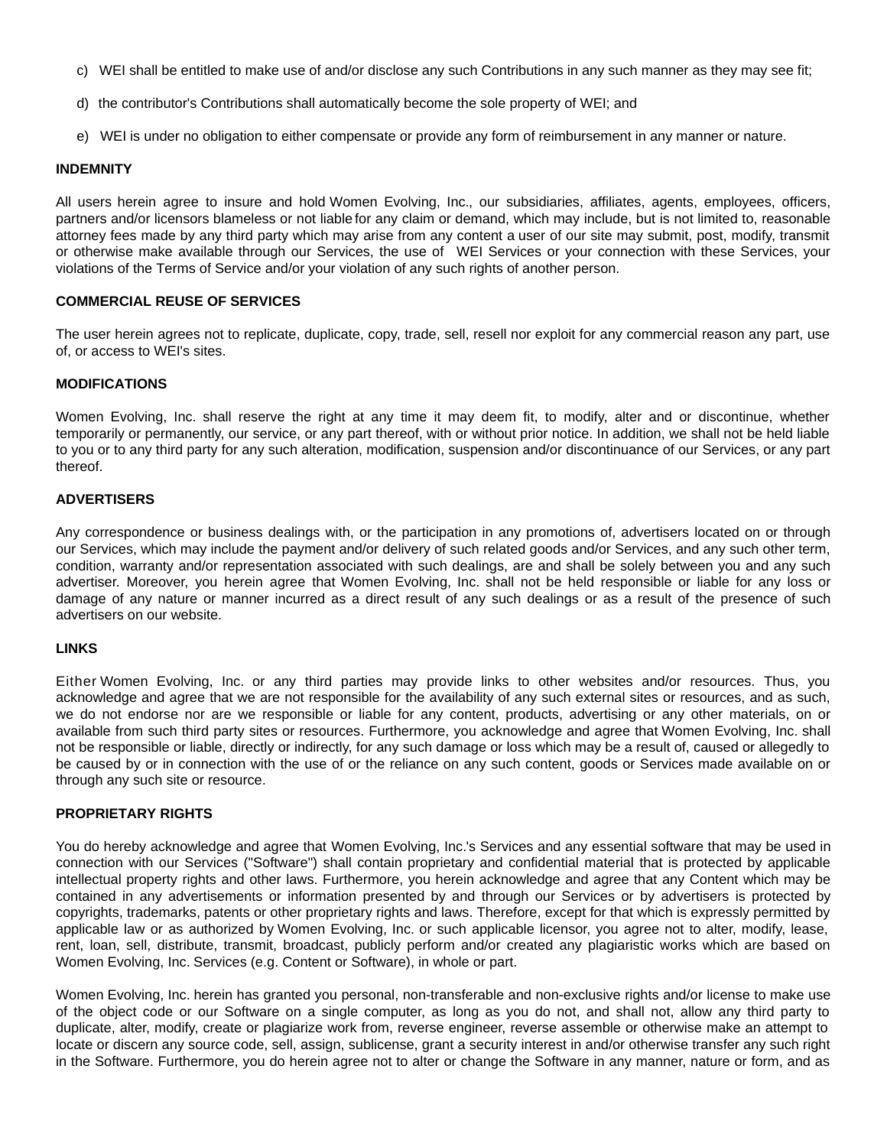- c) WEI shall be entitled to make use of and/or disclose any such Contributions in any such manner as they may see fit;
- d) the contributor's Contributions shall automatically become the sole property of WEI; and
- e) WEI is under no obligation to either compensate or provide any form of reimbursement in any manner or nature.

# **INDEMNITY**

All users herein agree to insure and hold Women Evolving, Inc., our subsidiaries, affiliates, agents, employees, officers, partners and/or licensors blameless or not liable for any claim or demand, which may include, but is not limited to, reasonable attorney fees made by any third party which may arise from any content a user of our site may submit, post, modify, transmit or otherwise make available through our Services, the use of WEI Services or your connection with these Services, your violations of the Terms of Service and/or your violation of any such rights of another person.

## **COMMERCIAL REUSE OF SERVICES**

The user herein agrees not to replicate, duplicate, copy, trade, sell, resell nor exploit for any commercial reason any part, use of, or access to WEI's sites.

## **MODIFICATIONS**

Women Evolving, Inc. shall reserve the right at any time it may deem fit, to modify, alter and or discontinue, whether temporarily or permanently, our service, or any part thereof, with or without prior notice. In addition, we shall not be held liable to you or to any third party for any such alteration, modification, suspension and/or discontinuance of our Services, or any part thereof.

## **ADVERTISERS**

Any correspondence or business dealings with, or the participation in any promotions of, advertisers located on or through our Services, which may include the payment and/or delivery of such related goods and/or Services, and any such other term, condition, warranty and/or representation associated with such dealings, are and shall be solely between you and any such advertiser. Moreover, you herein agree that Women Evolving, Inc. shall not be held responsible or liable for any loss or damage of any nature or manner incurred as a direct result of any such dealings or as a result of the presence of such advertisers on our website.

#### **LINKS**

Either Women Evolving, Inc. or any third parties may provide links to other websites and/or resources. Thus, you acknowledge and agree that we are not responsible for the availability of any such external sites or resources, and as such, we do not endorse nor are we responsible or liable for any content, products, advertising or any other materials, on or available from such third party sites or resources. Furthermore, you acknowledge and agree that Women Evolving, Inc. shall not be responsible or liable, directly or indirectly, for any such damage or loss which may be a result of, caused or allegedly to be caused by or in connection with the use of or the reliance on any such content, goods or Services made available on or through any such site or resource.

## **PROPRIETARY RIGHTS**

You do hereby acknowledge and agree that Women Evolving, Inc.'s Services and any essential software that may be used in connection with our Services ("Software") shall contain proprietary and confidential material that is protected by applicable intellectual property rights and other laws. Furthermore, you herein acknowledge and agree that any Content which may be contained in any advertisements or information presented by and through our Services or by advertisers is protected by copyrights, trademarks, patents or other proprietary rights and laws. Therefore, except for that which is expressly permitted by applicable law or as authorized by Women Evolving, Inc. or such applicable licensor, you agree not to alter, modify, lease, rent, loan, sell, distribute, transmit, broadcast, publicly perform and/or created any plagiaristic works which are based on Women Evolving, Inc. Services (e.g. Content or Software), in whole or part.

Women Evolving, Inc. herein has granted you personal, non-transferable and non-exclusive rights and/or license to make use of the object code or our Software on a single computer, as long as you do not, and shall not, allow any third party to duplicate, alter, modify, create or plagiarize work from, reverse engineer, reverse assemble or otherwise make an attempt to locate or discern any source code, sell, assign, sublicense, grant a security interest in and/or otherwise transfer any such right in the Software. Furthermore, you do herein agree not to alter or change the Software in any manner, nature or form, and as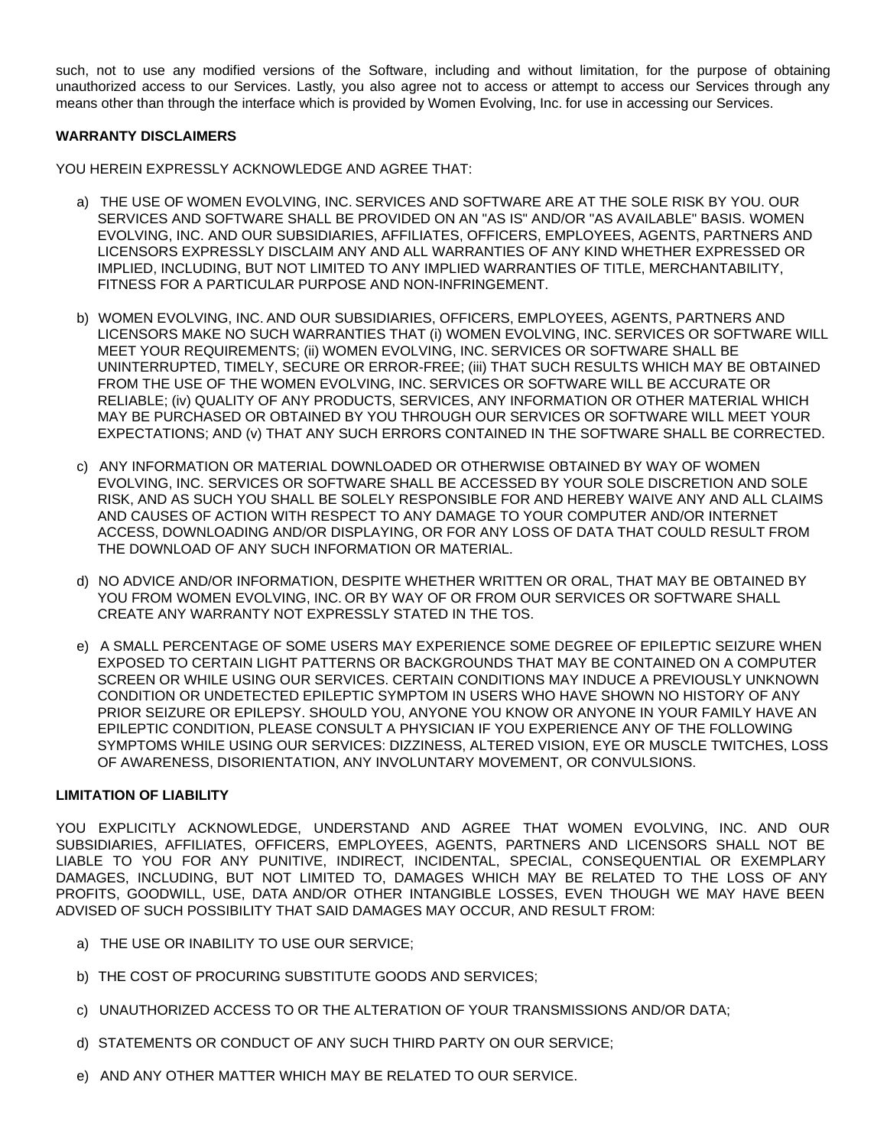such, not to use any modified versions of the Software, including and without limitation, for the purpose of obtaining unauthorized access to our Services. Lastly, you also agree not to access or attempt to access our Services through any means other than through the interface which is provided by Women Evolving, Inc. for use in accessing our Services.

# **WARRANTY DISCLAIMERS**

YOU HEREIN EXPRESSLY ACKNOWLEDGE AND AGREE THAT:

- a) THE USE OF WOMEN EVOLVING, INC. SERVICES AND SOFTWARE ARE AT THE SOLE RISK BY YOU. OUR SERVICES AND SOFTWARE SHALL BE PROVIDED ON AN "AS IS" AND/OR "AS AVAILABLE" BASIS. WOMEN EVOLVING, INC. AND OUR SUBSIDIARIES, AFFILIATES, OFFICERS, EMPLOYEES, AGENTS, PARTNERS AND LICENSORS EXPRESSLY DISCLAIM ANY AND ALL WARRANTIES OF ANY KIND WHETHER EXPRESSED OR IMPLIED, INCLUDING, BUT NOT LIMITED TO ANY IMPLIED WARRANTIES OF TITLE, MERCHANTABILITY, FITNESS FOR A PARTICULAR PURPOSE AND NON-INFRINGEMENT.
- b) WOMEN EVOLVING, INC. AND OUR SUBSIDIARIES, OFFICERS, EMPLOYEES, AGENTS, PARTNERS AND LICENSORS MAKE NO SUCH WARRANTIES THAT (i) WOMEN EVOLVING, INC. SERVICES OR SOFTWARE WILL MEET YOUR REQUIREMENTS; (ii) WOMEN EVOLVING, INC. SERVICES OR SOFTWARE SHALL BE UNINTERRUPTED, TIMELY, SECURE OR ERROR-FREE; (iii) THAT SUCH RESULTS WHICH MAY BE OBTAINED FROM THE USE OF THE WOMEN EVOLVING, INC. SERVICES OR SOFTWARE WILL BE ACCURATE OR RELIABLE; (iv) QUALITY OF ANY PRODUCTS, SERVICES, ANY INFORMATION OR OTHER MATERIAL WHICH MAY BE PURCHASED OR OBTAINED BY YOU THROUGH OUR SERVICES OR SOFTWARE WILL MEET YOUR EXPECTATIONS; AND (v) THAT ANY SUCH ERRORS CONTAINED IN THE SOFTWARE SHALL BE CORRECTED.
- c) ANY INFORMATION OR MATERIAL DOWNLOADED OR OTHERWISE OBTAINED BY WAY OF WOMEN EVOLVING, INC. SERVICES OR SOFTWARE SHALL BE ACCESSED BY YOUR SOLE DISCRETION AND SOLE RISK, AND AS SUCH YOU SHALL BE SOLELY RESPONSIBLE FOR AND HEREBY WAIVE ANY AND ALL CLAIMS AND CAUSES OF ACTION WITH RESPECT TO ANY DAMAGE TO YOUR COMPUTER AND/OR INTERNET ACCESS, DOWNLOADING AND/OR DISPLAYING, OR FOR ANY LOSS OF DATA THAT COULD RESULT FROM THE DOWNLOAD OF ANY SUCH INFORMATION OR MATERIAL.
- d) NO ADVICE AND/OR INFORMATION, DESPITE WHETHER WRITTEN OR ORAL, THAT MAY BE OBTAINED BY YOU FROM WOMEN EVOLVING, INC. OR BY WAY OF OR FROM OUR SERVICES OR SOFTWARE SHALL CREATE ANY WARRANTY NOT EXPRESSLY STATED IN THE TOS.
- e) A SMALL PERCENTAGE OF SOME USERS MAY EXPERIENCE SOME DEGREE OF EPILEPTIC SEIZURE WHEN EXPOSED TO CERTAIN LIGHT PATTERNS OR BACKGROUNDS THAT MAY BE CONTAINED ON A COMPUTER SCREEN OR WHILE USING OUR SERVICES. CERTAIN CONDITIONS MAY INDUCE A PREVIOUSLY UNKNOWN CONDITION OR UNDETECTED EPILEPTIC SYMPTOM IN USERS WHO HAVE SHOWN NO HISTORY OF ANY PRIOR SEIZURE OR EPILEPSY. SHOULD YOU, ANYONE YOU KNOW OR ANYONE IN YOUR FAMILY HAVE AN EPILEPTIC CONDITION, PLEASE CONSULT A PHYSICIAN IF YOU EXPERIENCE ANY OF THE FOLLOWING SYMPTOMS WHILE USING OUR SERVICES: DIZZINESS, ALTERED VISION, EYE OR MUSCLE TWITCHES, LOSS OF AWARENESS, DISORIENTATION, ANY INVOLUNTARY MOVEMENT, OR CONVULSIONS.

# **LIMITATION OF LIABILITY**

YOU EXPLICITLY ACKNOWLEDGE, UNDERSTAND AND AGREE THAT WOMEN EVOLVING, INC. AND OUR SUBSIDIARIES, AFFILIATES, OFFICERS, EMPLOYEES, AGENTS, PARTNERS AND LICENSORS SHALL NOT BE LIABLE TO YOU FOR ANY PUNITIVE, INDIRECT, INCIDENTAL, SPECIAL, CONSEQUENTIAL OR EXEMPLARY DAMAGES, INCLUDING, BUT NOT LIMITED TO, DAMAGES WHICH MAY BE RELATED TO THE LOSS OF ANY PROFITS, GOODWILL, USE, DATA AND/OR OTHER INTANGIBLE LOSSES, EVEN THOUGH WE MAY HAVE BEEN ADVISED OF SUCH POSSIBILITY THAT SAID DAMAGES MAY OCCUR, AND RESULT FROM:

- a) THE USE OR INABILITY TO USE OUR SERVICE;
- b) THE COST OF PROCURING SUBSTITUTE GOODS AND SERVICES;
- c) UNAUTHORIZED ACCESS TO OR THE ALTERATION OF YOUR TRANSMISSIONS AND/OR DATA;
- d) STATEMENTS OR CONDUCT OF ANY SUCH THIRD PARTY ON OUR SERVICE;
- e) AND ANY OTHER MATTER WHICH MAY BE RELATED TO OUR SERVICE.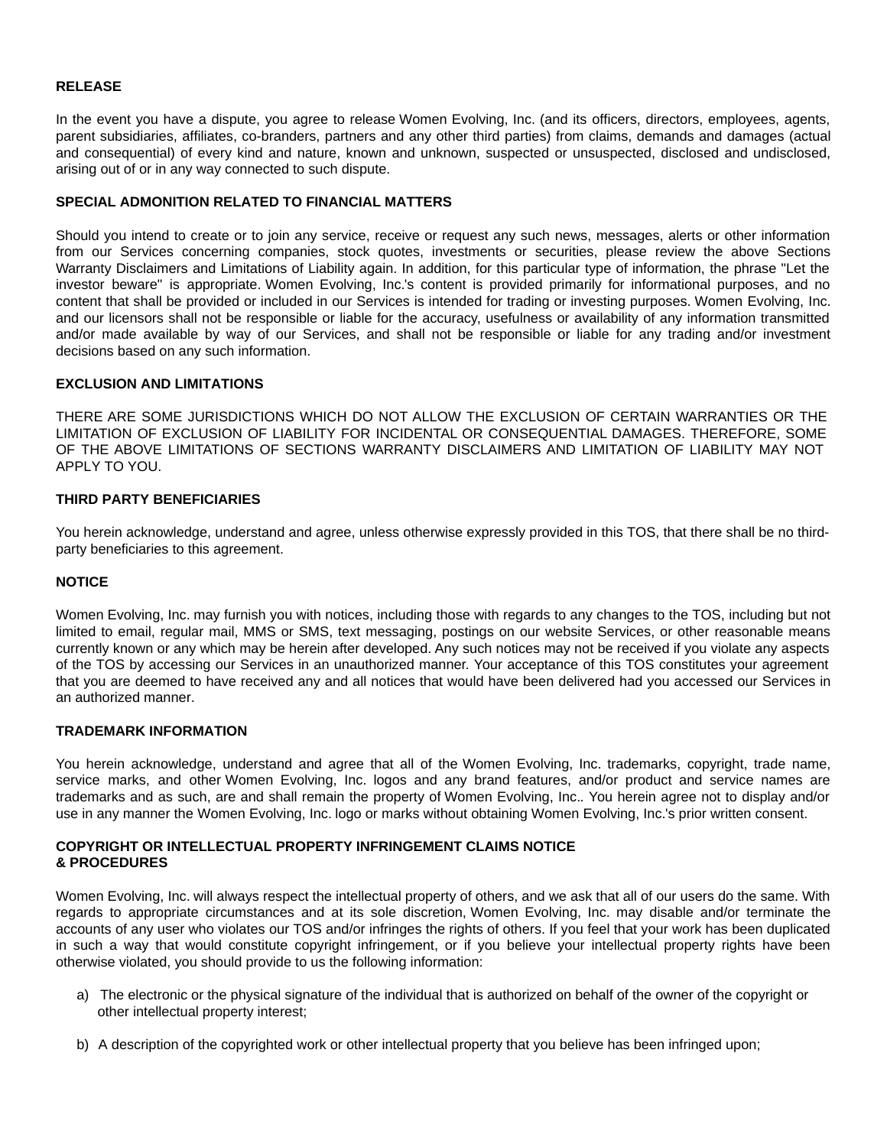## **RELEASE**

In the event you have a dispute, you agree to release Women Evolving, Inc. (and its officers, directors, employees, agents, parent subsidiaries, affiliates, co-branders, partners and any other third parties) from claims, demands and damages (actual and consequential) of every kind and nature, known and unknown, suspected or unsuspected, disclosed and undisclosed, arising out of or in any way connected to such dispute.

#### **SPECIAL ADMONITION RELATED TO FINANCIAL MATTERS**

Should you intend to create or to join any service, receive or request any such news, messages, alerts or other information from our Services concerning companies, stock quotes, investments or securities, please review the above Sections Warranty Disclaimers and Limitations of Liability again. In addition, for this particular type of information, the phrase "Let the investor beware" is appropriate. Women Evolving, Inc.'s content is provided primarily for informational purposes, and no content that shall be provided or included in our Services is intended for trading or investing purposes. Women Evolving, Inc. and our licensors shall not be responsible or liable for the accuracy, usefulness or availability of any information transmitted and/or made available by way of our Services, and shall not be responsible or liable for any trading and/or investment decisions based on any such information.

## **EXCLUSION AND LIMITATIONS**

THERE ARE SOME JURISDICTIONS WHICH DO NOT ALLOW THE EXCLUSION OF CERTAIN WARRANTIES OR THE LIMITATION OF EXCLUSION OF LIABILITY FOR INCIDENTAL OR CONSEQUENTIAL DAMAGES. THEREFORE, SOME OF THE ABOVE LIMITATIONS OF SECTIONS WARRANTY DISCLAIMERS AND LIMITATION OF LIABILITY MAY NOT APPLY TO YOU.

## **THIRD PARTY BENEFICIARIES**

You herein acknowledge, understand and agree, unless otherwise expressly provided in this TOS, that there shall be no thirdparty beneficiaries to this agreement.

## **NOTICE**

Women Evolving, Inc. may furnish you with notices, including those with regards to any changes to the TOS, including but not limited to email, regular mail, MMS or SMS, text messaging, postings on our website Services, or other reasonable means currently known or any which may be herein after developed. Any such notices may not be received if you violate any aspects of the TOS by accessing our Services in an unauthorized manner. Your acceptance of this TOS constitutes your agreement that you are deemed to have received any and all notices that would have been delivered had you accessed our Services in an authorized manner.

#### **TRADEMARK INFORMATION**

You herein acknowledge, understand and agree that all of the Women Evolving, Inc. trademarks, copyright, trade name, service marks, and other Women Evolving, Inc. logos and any brand features, and/or product and service names are trademarks and as such, are and shall remain the property of Women Evolving, Inc.. You herein agree not to display and/or use in any manner the Women Evolving, Inc. logo or marks without obtaining Women Evolving, Inc.'s prior written consent.

# **COPYRIGHT OR INTELLECTUAL PROPERTY INFRINGEMENT CLAIMS NOTICE & PROCEDURES**

Women Evolving, Inc. will always respect the intellectual property of others, and we ask that all of our users do the same. With regards to appropriate circumstances and at its sole discretion, Women Evolving, Inc. may disable and/or terminate the accounts of any user who violates our TOS and/or infringes the rights of others. If you feel that your work has been duplicated in such a way that would constitute copyright infringement, or if you believe your intellectual property rights have been otherwise violated, you should provide to us the following information:

- a) The electronic or the physical signature of the individual that is authorized on behalf of the owner of the copyright or other intellectual property interest;
- b) A description of the copyrighted work or other intellectual property that you believe has been infringed upon;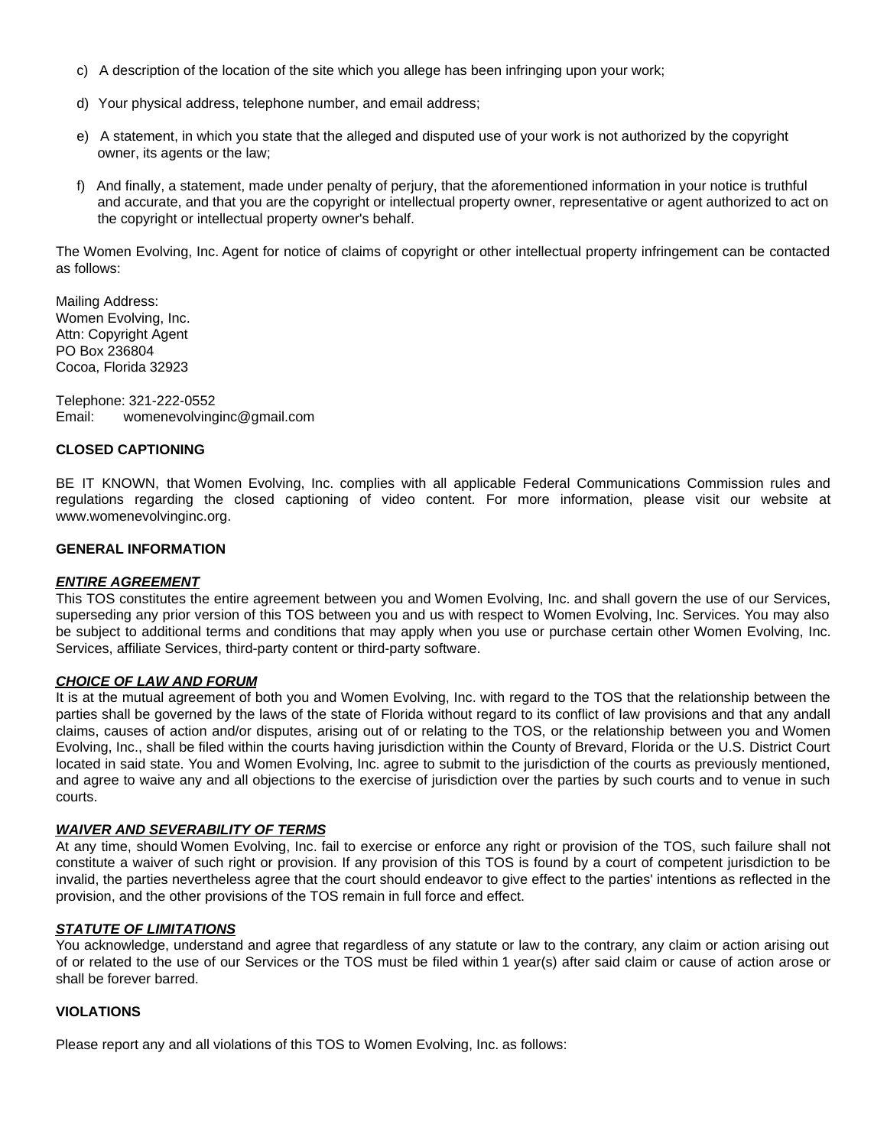- c) A description of the location of the site which you allege has been infringing upon your work;
- d) Your physical address, telephone number, and email address;
- e) A statement, in which you state that the alleged and disputed use of your work is not authorized by the copyright owner, its agents or the law;
- f) And finally, a statement, made under penalty of perjury, that the aforementioned information in your notice is truthful and accurate, and that you are the copyright or intellectual property owner, representative or agent authorized to act on the copyright or intellectual property owner's behalf.

The Women Evolving, Inc. Agent for notice of claims of copyright or other intellectual property infringement can be contacted as follows:

Mailing Address: Women Evolving, Inc. Attn: Copyright Agent PO Box 236804 Cocoa, Florida 32923

Telephone: 321-222-0552 Email: womenevolvinginc@gmail.com

## **CLOSED CAPTIONING**

BE IT KNOWN, that Women Evolving, Inc. complies with all applicable Federal Communications Commission rules and regulations regarding the closed captioning of video content. For more information, please visit our website at www.womenevolvinginc.org.

#### **GENERAL INFORMATION**

#### *ENTIRE AGREEMENT*

This TOS constitutes the entire agreement between you and Women Evolving, Inc. and shall govern the use of our Services, superseding any prior version of this TOS between you and us with respect to Women Evolving, Inc. Services. You may also be subject to additional terms and conditions that may apply when you use or purchase certain other Women Evolving, Inc. Services, affiliate Services, third-party content or third-party software.

#### *CHOICE OF LAW AND FORUM*

It is at the mutual agreement of both you and Women Evolving, Inc. with regard to the TOS that the relationship between the parties shall be governed by the laws of the state of Florida without regard to its conflict of law provisions and that any andall claims, causes of action and/or disputes, arising out of or relating to the TOS, or the relationship between you and Women Evolving, Inc., shall be filed within the courts having jurisdiction within the County of Brevard, Florida or the U.S. District Court located in said state. You and Women Evolving, Inc. agree to submit to the jurisdiction of the courts as previously mentioned, and agree to waive any and all objections to the exercise of jurisdiction over the parties by such courts and to venue in such courts.

#### *WAIVER AND SEVERABILITY OF TERMS*

At any time, should Women Evolving, Inc. fail to exercise or enforce any right or provision of the TOS, such failure shall not constitute a waiver of such right or provision. If any provision of this TOS is found by a court of competent jurisdiction to be invalid, the parties nevertheless agree that the court should endeavor to give effect to the parties' intentions as reflected in the provision, and the other provisions of the TOS remain in full force and effect.

#### *STATUTE OF LIMITATIONS*

You acknowledge, understand and agree that regardless of any statute or law to the contrary, any claim or action arising out of or related to the use of our Services or the TOS must be filed within 1 year(s) after said claim or cause of action arose or shall be forever barred.

## **VIOLATIONS**

Please report any and all violations of this TOS to Women Evolving, Inc. as follows: